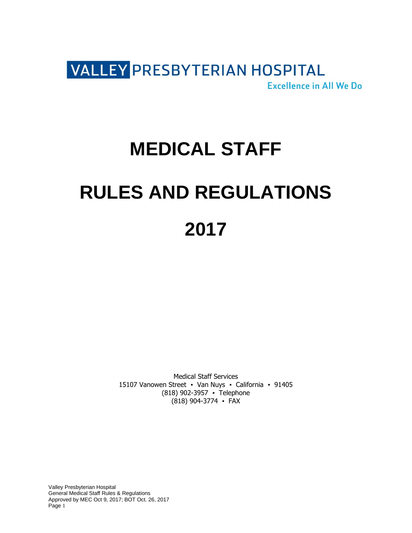

# **MEDICAL STAFF RULES AND REGULATIONS 2017**

Medical Staff Services 15107 Vanowen Street • Van Nuys • California • 91405 (818) 902-3957 ▪ Telephone (818) 904-3774 ▪ FAX

Valley Presbyterian Hospital General Medical Staff Rules & Regulations Approved by MEC Oct 9, 2017; BOT Oct. 26, 2017 Page 1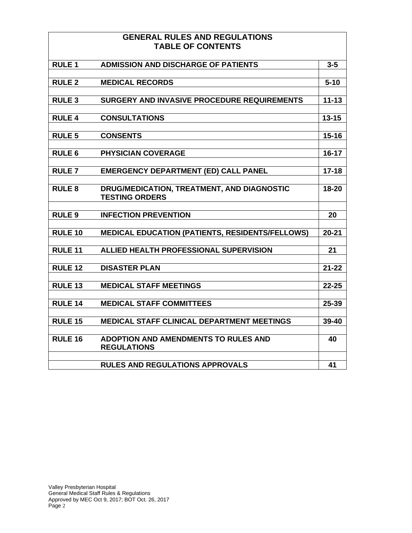## **GENERAL RULES AND REGULATIONS TABLE OF CONTENTS**

| <b>RULE 1</b>  | <b>ADMISSION AND DISCHARGE OF PATIENTS</b>                          | $3 - 5$   |
|----------------|---------------------------------------------------------------------|-----------|
|                |                                                                     |           |
| <b>RULE 2</b>  | <b>MEDICAL RECORDS</b>                                              | $5 - 10$  |
|                |                                                                     |           |
| <b>RULE 3</b>  | SURGERY AND INVASIVE PROCEDURE REQUIREMENTS                         | $11 - 13$ |
| <b>RULE 4</b>  |                                                                     |           |
|                | <b>CONSULTATIONS</b>                                                | $13 - 15$ |
| <b>RULE 5</b>  | <b>CONSENTS</b>                                                     | $15 - 16$ |
|                |                                                                     |           |
| <b>RULE 6</b>  | <b>PHYSICIAN COVERAGE</b>                                           | $16 - 17$ |
|                |                                                                     |           |
| <b>RULE 7</b>  | <b>EMERGENCY DEPARTMENT (ED) CALL PANEL</b>                         | $17 - 18$ |
|                |                                                                     |           |
| <b>RULE 8</b>  | DRUG/MEDICATION, TREATMENT, AND DIAGNOSTIC<br><b>TESTING ORDERS</b> | $18 - 20$ |
|                |                                                                     |           |
| <b>RULE 9</b>  | <b>INFECTION PREVENTION</b>                                         | 20        |
|                |                                                                     |           |
| <b>RULE 10</b> | <b>MEDICAL EDUCATION (PATIENTS, RESIDENTS/FELLOWS)</b>              | $20 - 21$ |
|                |                                                                     |           |
| <b>RULE 11</b> | ALLIED HEALTH PROFESSIONAL SUPERVISION                              | 21        |
|                |                                                                     |           |
| <b>RULE 12</b> | <b>DISASTER PLAN</b>                                                | $21 - 22$ |
|                |                                                                     |           |
| <b>RULE 13</b> | <b>MEDICAL STAFF MEETINGS</b>                                       | $22 - 25$ |
|                |                                                                     |           |
| <b>RULE 14</b> | <b>MEDICAL STAFF COMMITTEES</b>                                     | 25-39     |
| <b>RULE 15</b> | MEDICAL STAFF CLINICAL DEPARTMENT MEETINGS                          | 39-40     |
|                |                                                                     |           |
| <b>RULE 16</b> | <b>ADOPTION AND AMENDMENTS TO RULES AND</b>                         | 40        |
|                | <b>REGULATIONS</b>                                                  |           |
|                |                                                                     |           |
|                | <b>RULES AND REGULATIONS APPROVALS</b>                              | 41        |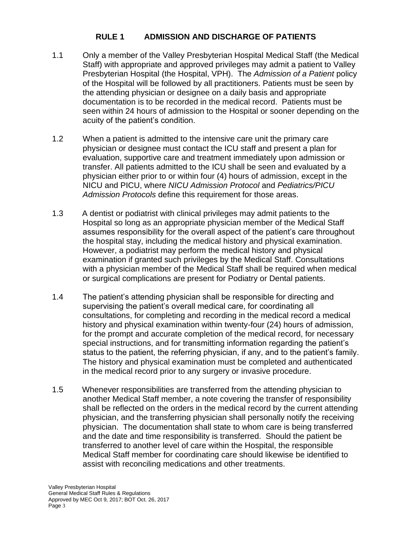## **RULE 1 ADMISSION AND DISCHARGE OF PATIENTS**

- 1.1 Only a member of the Valley Presbyterian Hospital Medical Staff (the Medical Staff) with appropriate and approved privileges may admit a patient to Valley Presbyterian Hospital (the Hospital, VPH). The *Admission of a Patient* policy of the Hospital will be followed by all practitioners. Patients must be seen by the attending physician or designee on a daily basis and appropriate documentation is to be recorded in the medical record. Patients must be seen within 24 hours of admission to the Hospital or sooner depending on the acuity of the patient's condition.
- 1.2 When a patient is admitted to the intensive care unit the primary care physician or designee must contact the ICU staff and present a plan for evaluation, supportive care and treatment immediately upon admission or transfer. All patients admitted to the ICU shall be seen and evaluated by a physician either prior to or within four (4) hours of admission, except in the NICU and PICU, where *NICU Admission Protocol* and *Pediatrics/PICU Admission Protocols* define this requirement for those areas.
- 1.3 A dentist or podiatrist with clinical privileges may admit patients to the Hospital so long as an appropriate physician member of the Medical Staff assumes responsibility for the overall aspect of the patient's care throughout the hospital stay, including the medical history and physical examination. However, a podiatrist may perform the medical history and physical examination if granted such privileges by the Medical Staff. Consultations with a physician member of the Medical Staff shall be required when medical or surgical complications are present for Podiatry or Dental patients.
- 1.4 The patient's attending physician shall be responsible for directing and supervising the patient's overall medical care, for coordinating all consultations, for completing and recording in the medical record a medical history and physical examination within twenty-four (24) hours of admission, for the prompt and accurate completion of the medical record, for necessary special instructions, and for transmitting information regarding the patient's status to the patient, the referring physician, if any, and to the patient's family. The history and physical examination must be completed and authenticated in the medical record prior to any surgery or invasive procedure.
- 1.5 Whenever responsibilities are transferred from the attending physician to another Medical Staff member, a note covering the transfer of responsibility shall be reflected on the orders in the medical record by the current attending physician, and the transferring physician shall personally notify the receiving physician. The documentation shall state to whom care is being transferred and the date and time responsibility is transferred. Should the patient be transferred to another level of care within the Hospital, the responsible Medical Staff member for coordinating care should likewise be identified to assist with reconciling medications and other treatments.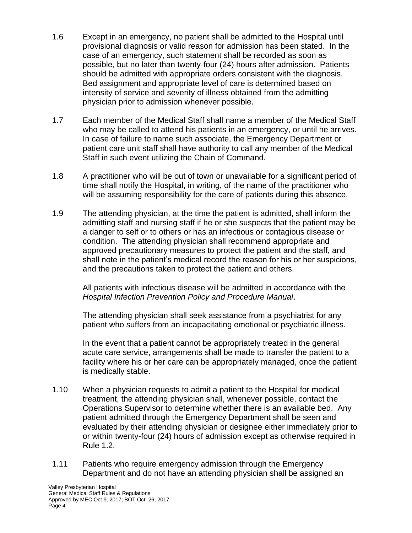- 1.6 Except in an emergency, no patient shall be admitted to the Hospital until provisional diagnosis or valid reason for admission has been stated. In the case of an emergency, such statement shall be recorded as soon as possible, but no later than twenty-four (24) hours after admission. Patients should be admitted with appropriate orders consistent with the diagnosis. Bed assignment and appropriate level of care is determined based on intensity of service and severity of illness obtained from the admitting physician prior to admission whenever possible.
- 1.7 Each member of the Medical Staff shall name a member of the Medical Staff who may be called to attend his patients in an emergency, or until he arrives. In case of failure to name such associate, the Emergency Department or patient care unit staff shall have authority to call any member of the Medical Staff in such event utilizing the Chain of Command.
- 1.8 A practitioner who will be out of town or unavailable for a significant period of time shall notify the Hospital, in writing, of the name of the practitioner who will be assuming responsibility for the care of patients during this absence.
- 1.9 The attending physician, at the time the patient is admitted, shall inform the admitting staff and nursing staff if he or she suspects that the patient may be a danger to self or to others or has an infectious or contagious disease or condition. The attending physician shall recommend appropriate and approved precautionary measures to protect the patient and the staff, and shall note in the patient's medical record the reason for his or her suspicions, and the precautions taken to protect the patient and others.

All patients with infectious disease will be admitted in accordance with the *Hospital Infection Prevention Policy and Procedure Manual*.

The attending physician shall seek assistance from a psychiatrist for any patient who suffers from an incapacitating emotional or psychiatric illness.

In the event that a patient cannot be appropriately treated in the general acute care service, arrangements shall be made to transfer the patient to a facility where his or her care can be appropriately managed, once the patient is medically stable.

- 1.10 When a physician requests to admit a patient to the Hospital for medical treatment, the attending physician shall, whenever possible, contact the Operations Supervisor to determine whether there is an available bed. Any patient admitted through the Emergency Department shall be seen and evaluated by their attending physician or designee either immediately prior to or within twenty-four (24) hours of admission except as otherwise required in Rule 1.2.
- 1.11 Patients who require emergency admission through the Emergency Department and do not have an attending physician shall be assigned an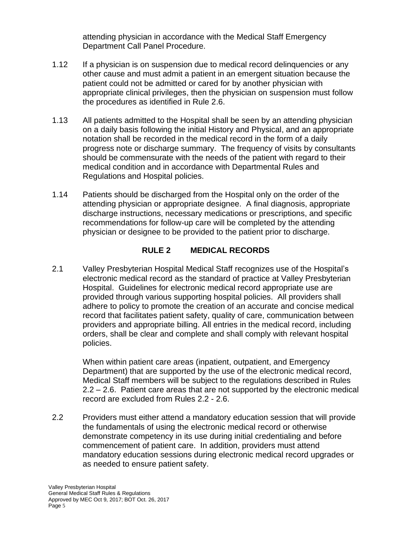attending physician in accordance with the Medical Staff Emergency Department Call Panel Procedure.

- 1.12 If a physician is on suspension due to medical record delinguencies or any other cause and must admit a patient in an emergent situation because the patient could not be admitted or cared for by another physician with appropriate clinical privileges, then the physician on suspension must follow the procedures as identified in Rule 2.6.
- 1.13 All patients admitted to the Hospital shall be seen by an attending physician on a daily basis following the initial History and Physical, and an appropriate notation shall be recorded in the medical record in the form of a daily progress note or discharge summary. The frequency of visits by consultants should be commensurate with the needs of the patient with regard to their medical condition and in accordance with Departmental Rules and Regulations and Hospital policies.
- 1.14 Patients should be discharged from the Hospital only on the order of the attending physician or appropriate designee. A final diagnosis, appropriate discharge instructions, necessary medications or prescriptions, and specific recommendations for follow-up care will be completed by the attending physician or designee to be provided to the patient prior to discharge.

## **RULE 2 MEDICAL RECORDS**

2.1 Valley Presbyterian Hospital Medical Staff recognizes use of the Hospital's electronic medical record as the standard of practice at Valley Presbyterian Hospital. Guidelines for electronic medical record appropriate use are provided through various supporting hospital policies. All providers shall adhere to policy to promote the creation of an accurate and concise medical record that facilitates patient safety, quality of care, communication between providers and appropriate billing. All entries in the medical record, including orders, shall be clear and complete and shall comply with relevant hospital policies.

When within patient care areas (inpatient, outpatient, and Emergency Department) that are supported by the use of the electronic medical record, Medical Staff members will be subject to the regulations described in Rules 2.2 – 2.6. Patient care areas that are not supported by the electronic medical record are excluded from Rules 2.2 - 2.6.

2.2 Providers must either attend a mandatory education session that will provide the fundamentals of using the electronic medical record or otherwise demonstrate competency in its use during initial credentialing and before commencement of patient care. In addition, providers must attend mandatory education sessions during electronic medical record upgrades or as needed to ensure patient safety.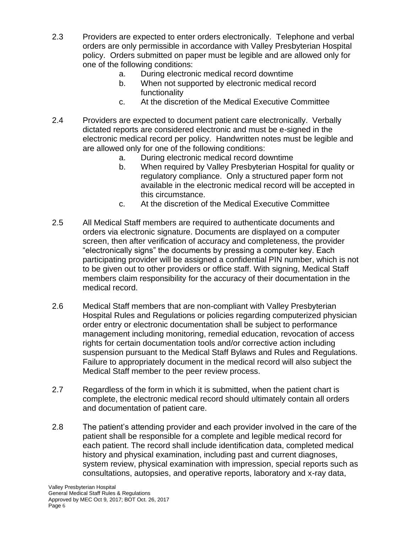- 2.3 Providers are expected to enter orders electronically. Telephone and verbal orders are only permissible in accordance with Valley Presbyterian Hospital policy. Orders submitted on paper must be legible and are allowed only for one of the following conditions:
	- a. During electronic medical record downtime
	- b. When not supported by electronic medical record functionality
	- c. At the discretion of the Medical Executive Committee
- 2.4 Providers are expected to document patient care electronically. Verbally dictated reports are considered electronic and must be e-signed in the electronic medical record per policy. Handwritten notes must be legible and are allowed only for one of the following conditions:
	- a. During electronic medical record downtime
	- b. When required by Valley Presbyterian Hospital for quality or regulatory compliance. Only a structured paper form not available in the electronic medical record will be accepted in this circumstance.
	- c. At the discretion of the Medical Executive Committee
- 2.5 All Medical Staff members are required to authenticate documents and orders via electronic signature. Documents are displayed on a computer screen, then after verification of accuracy and completeness, the provider "electronically signs" the documents by pressing a computer key. Each participating provider will be assigned a confidential PIN number, which is not to be given out to other providers or office staff. With signing, Medical Staff members claim responsibility for the accuracy of their documentation in the medical record.
- 2.6 Medical Staff members that are non-compliant with Valley Presbyterian Hospital Rules and Regulations or policies regarding computerized physician order entry or electronic documentation shall be subject to performance management including monitoring, remedial education, revocation of access rights for certain documentation tools and/or corrective action including suspension pursuant to the Medical Staff Bylaws and Rules and Regulations. Failure to appropriately document in the medical record will also subject the Medical Staff member to the peer review process.
- 2.7 Regardless of the form in which it is submitted, when the patient chart is complete, the electronic medical record should ultimately contain all orders and documentation of patient care.
- 2.8 The patient's attending provider and each provider involved in the care of the patient shall be responsible for a complete and legible medical record for each patient. The record shall include identification data, completed medical history and physical examination, including past and current diagnoses, system review, physical examination with impression, special reports such as consultations, autopsies, and operative reports, laboratory and x-ray data,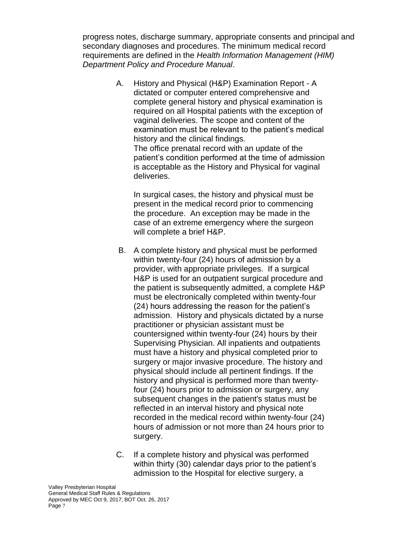progress notes, discharge summary, appropriate consents and principal and secondary diagnoses and procedures. The minimum medical record requirements are defined in the *Health Information Management (HIM) Department Policy and Procedure Manual*.

> A. History and Physical (H&P) Examination Report - A dictated or computer entered comprehensive and complete general history and physical examination is required on all Hospital patients with the exception of vaginal deliveries. The scope and content of the examination must be relevant to the patient's medical history and the clinical findings. The office prenatal record with an update of the patient's condition performed at the time of admission is acceptable as the History and Physical for vaginal

In surgical cases, the history and physical must be present in the medical record prior to commencing the procedure. An exception may be made in the case of an extreme emergency where the surgeon will complete a brief H&P.

deliveries.

- B. A complete history and physical must be performed within twenty-four (24) hours of admission by a provider, with appropriate privileges. If a surgical H&P is used for an outpatient surgical procedure and the patient is subsequently admitted, a complete H&P must be electronically completed within twenty-four (24) hours addressing the reason for the patient's admission. History and physicals dictated by a nurse practitioner or physician assistant must be countersigned within twenty-four (24) hours by their Supervising Physician. All inpatients and outpatients must have a history and physical completed prior to surgery or major invasive procedure. The history and physical should include all pertinent findings. If the history and physical is performed more than twentyfour (24) hours prior to admission or surgery, any subsequent changes in the patient's status must be reflected in an interval history and physical note recorded in the medical record within twenty-four (24) hours of admission or not more than 24 hours prior to surgery.
- C. If a complete history and physical was performed within thirty (30) calendar days prior to the patient's admission to the Hospital for elective surgery, a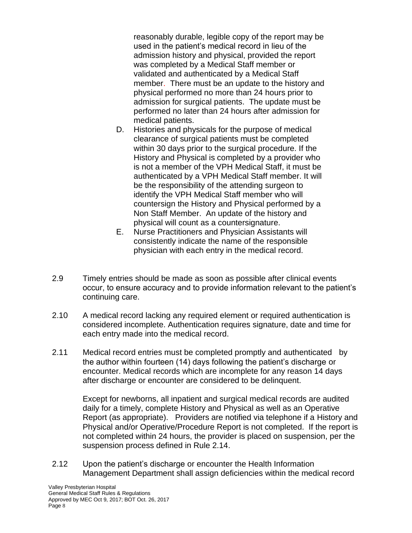reasonably durable, legible copy of the report may be used in the patient's medical record in lieu of the admission history and physical, provided the report was completed by a Medical Staff member or validated and authenticated by a Medical Staff member. There must be an update to the history and physical performed no more than 24 hours prior to admission for surgical patients. The update must be performed no later than 24 hours after admission for medical patients.

- D. Histories and physicals for the purpose of medical clearance of surgical patients must be completed within 30 days prior to the surgical procedure. If the History and Physical is completed by a provider who is not a member of the VPH Medical Staff, it must be authenticated by a VPH Medical Staff member. It will be the responsibility of the attending surgeon to identify the VPH Medical Staff member who will countersign the History and Physical performed by a Non Staff Member. An update of the history and physical will count as a countersignature.
- E. Nurse Practitioners and Physician Assistants will consistently indicate the name of the responsible physician with each entry in the medical record.
- 2.9 Timely entries should be made as soon as possible after clinical events occur, to ensure accuracy and to provide information relevant to the patient's continuing care.
- 2.10 A medical record lacking any required element or required authentication is considered incomplete. Authentication requires signature, date and time for each entry made into the medical record.
- 2.11 Medical record entries must be completed promptly and authenticated by the author within fourteen (14) days following the patient's discharge or encounter. Medical records which are incomplete for any reason 14 days after discharge or encounter are considered to be delinquent.

Except for newborns, all inpatient and surgical medical records are audited daily for a timely, complete History and Physical as well as an Operative Report (as appropriate). Providers are notified via telephone if a History and Physical and/or Operative/Procedure Report is not completed. If the report is not completed within 24 hours, the provider is placed on suspension, per the suspension process defined in Rule 2.14.

2.12 Upon the patient's discharge or encounter the Health Information Management Department shall assign deficiencies within the medical record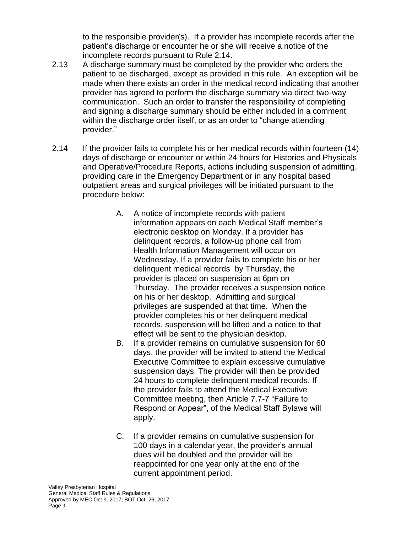to the responsible provider(s). If a provider has incomplete records after the patient's discharge or encounter he or she will receive a notice of the incomplete records pursuant to Rule 2.14.

- 2.13 A discharge summary must be completed by the provider who orders the patient to be discharged, except as provided in this rule. An exception will be made when there exists an order in the medical record indicating that another provider has agreed to perform the discharge summary via direct two-way communication. Such an order to transfer the responsibility of completing and signing a discharge summary should be either included in a comment within the discharge order itself, or as an order to "change attending provider."
- 2.14 If the provider fails to complete his or her medical records within fourteen (14) days of discharge or encounter or within 24 hours for Histories and Physicals and Operative/Procedure Reports, actions including suspension of admitting, providing care in the Emergency Department or in any hospital based outpatient areas and surgical privileges will be initiated pursuant to the procedure below:
	- A. A notice of incomplete records with patient information appears on each Medical Staff member's electronic desktop on Monday. If a provider has delinquent records, a follow-up phone call from Health Information Management will occur on Wednesday. If a provider fails to complete his or her delinquent medical records by Thursday, the provider is placed on suspension at 6pm on Thursday. The provider receives a suspension notice on his or her desktop. Admitting and surgical privileges are suspended at that time. When the provider completes his or her delinquent medical records, suspension will be lifted and a notice to that effect will be sent to the physician desktop.
	- B. If a provider remains on cumulative suspension for 60 days, the provider will be invited to attend the Medical Executive Committee to explain excessive cumulative suspension days. The provider will then be provided 24 hours to complete delinquent medical records. If the provider fails to attend the Medical Executive Committee meeting, then Article 7.7-7 "Failure to Respond or Appear", of the Medical Staff Bylaws will apply.
	- C. If a provider remains on cumulative suspension for 100 days in a calendar year, the provider's annual dues will be doubled and the provider will be reappointed for one year only at the end of the current appointment period.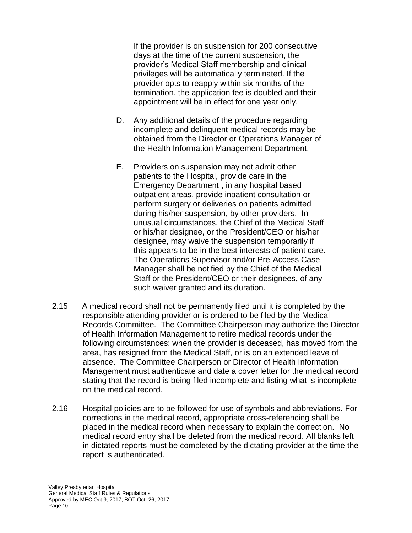If the provider is on suspension for 200 consecutive days at the time of the current suspension, the provider's Medical Staff membership and clinical privileges will be automatically terminated. If the provider opts to reapply within six months of the termination, the application fee is doubled and their appointment will be in effect for one year only.

- D. Any additional details of the procedure regarding incomplete and delinquent medical records may be obtained from the Director or Operations Manager of the Health Information Management Department.
- E. Providers on suspension may not admit other patients to the Hospital, provide care in the Emergency Department , in any hospital based outpatient areas, provide inpatient consultation or perform surgery or deliveries on patients admitted during his/her suspension, by other providers. In unusual circumstances, the Chief of the Medical Staff or his/her designee, or the President/CEO or his/her designee, may waive the suspension temporarily if this appears to be in the best interests of patient care. The Operations Supervisor and/or Pre-Access Case Manager shall be notified by the Chief of the Medical Staff or the President/CEO or their designees**,** of any such waiver granted and its duration.
- 2.15 A medical record shall not be permanently filed until it is completed by the responsible attending provider or is ordered to be filed by the Medical Records Committee. The Committee Chairperson may authorize the Director of Health Information Management to retire medical records under the following circumstances: when the provider is deceased, has moved from the area, has resigned from the Medical Staff, or is on an extended leave of absence. The Committee Chairperson or Director of Health Information Management must authenticate and date a cover letter for the medical record stating that the record is being filed incomplete and listing what is incomplete on the medical record.
- 2.16 Hospital policies are to be followed for use of symbols and abbreviations. For corrections in the medical record, appropriate cross-referencing shall be placed in the medical record when necessary to explain the correction. No medical record entry shall be deleted from the medical record. All blanks left in dictated reports must be completed by the dictating provider at the time the report is authenticated.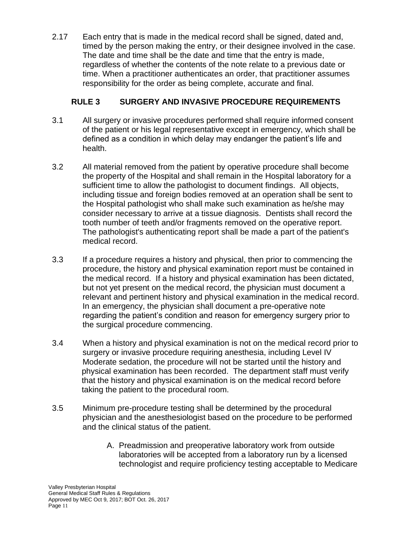2.17 Each entry that is made in the medical record shall be signed, dated and, timed by the person making the entry, or their designee involved in the case. The date and time shall be the date and time that the entry is made, regardless of whether the contents of the note relate to a previous date or time. When a practitioner authenticates an order, that practitioner assumes responsibility for the order as being complete, accurate and final.

## **RULE 3 SURGERY AND INVASIVE PROCEDURE REQUIREMENTS**

- 3.1 All surgery or invasive procedures performed shall require informed consent of the patient or his legal representative except in emergency, which shall be defined as a condition in which delay may endanger the patient's life and health.
- 3.2 All material removed from the patient by operative procedure shall become the property of the Hospital and shall remain in the Hospital laboratory for a sufficient time to allow the pathologist to document findings. All objects, including tissue and foreign bodies removed at an operation shall be sent to the Hospital pathologist who shall make such examination as he/she may consider necessary to arrive at a tissue diagnosis. Dentists shall record the tooth number of teeth and/or fragments removed on the operative report. The pathologist's authenticating report shall be made a part of the patient's medical record.
- 3.3 If a procedure requires a history and physical, then prior to commencing the procedure, the history and physical examination report must be contained in the medical record. If a history and physical examination has been dictated, but not yet present on the medical record, the physician must document a relevant and pertinent history and physical examination in the medical record. In an emergency, the physician shall document a pre-operative note regarding the patient's condition and reason for emergency surgery prior to the surgical procedure commencing.
- 3.4 When a history and physical examination is not on the medical record prior to surgery or invasive procedure requiring anesthesia, including Level IV Moderate sedation, the procedure will not be started until the history and physical examination has been recorded. The department staff must verify that the history and physical examination is on the medical record before taking the patient to the procedural room.
- 3.5 Minimum pre-procedure testing shall be determined by the procedural physician and the anesthesiologist based on the procedure to be performed and the clinical status of the patient.
	- A. Preadmission and preoperative laboratory work from outside laboratories will be accepted from a laboratory run by a licensed technologist and require proficiency testing acceptable to Medicare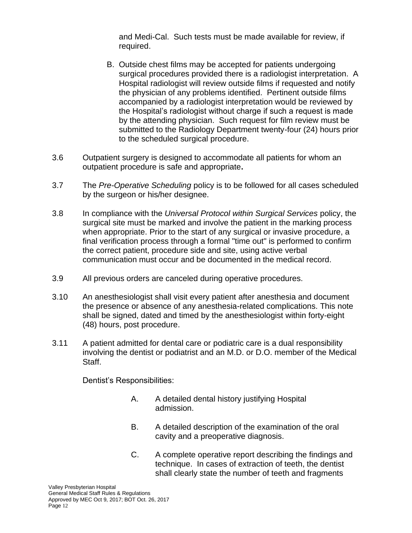and Medi-Cal. Such tests must be made available for review, if required.

- B. Outside chest films may be accepted for patients undergoing surgical procedures provided there is a radiologist interpretation. A Hospital radiologist will review outside films if requested and notify the physician of any problems identified. Pertinent outside films accompanied by a radiologist interpretation would be reviewed by the Hospital's radiologist without charge if such a request is made by the attending physician. Such request for film review must be submitted to the Radiology Department twenty-four (24) hours prior to the scheduled surgical procedure.
- 3.6 Outpatient surgery is designed to accommodate all patients for whom an outpatient procedure is safe and appropriate**.**
- 3.7 The *Pre-Operative Scheduling* policy is to be followed for all cases scheduled by the surgeon or his/her designee.
- 3.8 In compliance with the *Universal Protocol within Surgical Services* policy, the surgical site must be marked and involve the patient in the marking process when appropriate. Prior to the start of any surgical or invasive procedure, a final verification process through a formal "time out" is performed to confirm the correct patient, procedure side and site, using active verbal communication must occur and be documented in the medical record.
- 3.9 All previous orders are canceled during operative procedures.
- 3.10 An anesthesiologist shall visit every patient after anesthesia and document the presence or absence of any anesthesia-related complications. This note shall be signed, dated and timed by the anesthesiologist within forty-eight (48) hours, post procedure.
- 3.11 A patient admitted for dental care or podiatric care is a dual responsibility involving the dentist or podiatrist and an M.D. or D.O. member of the Medical Staff.

Dentist's Responsibilities:

- A. A detailed dental history justifying Hospital admission.
- B. A detailed description of the examination of the oral cavity and a preoperative diagnosis.
- C. A complete operative report describing the findings and technique. In cases of extraction of teeth, the dentist shall clearly state the number of teeth and fragments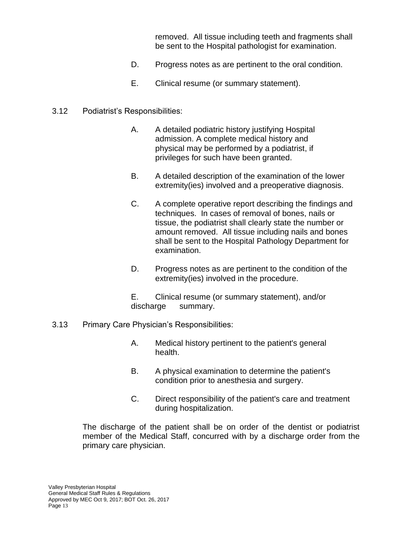removed. All tissue including teeth and fragments shall be sent to the Hospital pathologist for examination.

- D. Progress notes as are pertinent to the oral condition.
- E. Clinical resume (or summary statement).

## 3.12 Podiatrist's Responsibilities:

- A. A detailed podiatric history justifying Hospital admission. A complete medical history and physical may be performed by a podiatrist, if privileges for such have been granted.
- B. A detailed description of the examination of the lower extremity(ies) involved and a preoperative diagnosis.
- C. A complete operative report describing the findings and techniques. In cases of removal of bones, nails or tissue, the podiatrist shall clearly state the number or amount removed. All tissue including nails and bones shall be sent to the Hospital Pathology Department for examination.
- D. Progress notes as are pertinent to the condition of the extremity(ies) involved in the procedure.

E. Clinical resume (or summary statement), and/or discharge summary.

- 3.13 Primary Care Physician's Responsibilities:
	- A. Medical history pertinent to the patient's general health.
	- B. A physical examination to determine the patient's condition prior to anesthesia and surgery.
	- C. Direct responsibility of the patient's care and treatment during hospitalization.

The discharge of the patient shall be on order of the dentist or podiatrist member of the Medical Staff, concurred with by a discharge order from the primary care physician.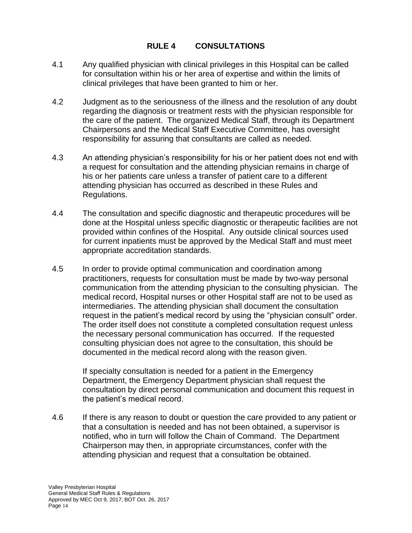## **RULE 4 CONSULTATIONS**

- 4.1 Any qualified physician with clinical privileges in this Hospital can be called for consultation within his or her area of expertise and within the limits of clinical privileges that have been granted to him or her.
- 4.2 Judgment as to the seriousness of the illness and the resolution of any doubt regarding the diagnosis or treatment rests with the physician responsible for the care of the patient. The organized Medical Staff, through its Department Chairpersons and the Medical Staff Executive Committee, has oversight responsibility for assuring that consultants are called as needed.
- 4.3 An attending physician's responsibility for his or her patient does not end with a request for consultation and the attending physician remains in charge of his or her patients care unless a transfer of patient care to a different attending physician has occurred as described in these Rules and Regulations.
- 4.4 The consultation and specific diagnostic and therapeutic procedures will be done at the Hospital unless specific diagnostic or therapeutic facilities are not provided within confines of the Hospital. Any outside clinical sources used for current inpatients must be approved by the Medical Staff and must meet appropriate accreditation standards.
- 4.5 In order to provide optimal communication and coordination among practitioners, requests for consultation must be made by two-way personal communication from the attending physician to the consulting physician. The medical record, Hospital nurses or other Hospital staff are not to be used as intermediaries. The attending physician shall document the consultation request in the patient's medical record by using the "physician consult" order. The order itself does not constitute a completed consultation request unless the necessary personal communication has occurred. If the requested consulting physician does not agree to the consultation, this should be documented in the medical record along with the reason given.

If specialty consultation is needed for a patient in the Emergency Department, the Emergency Department physician shall request the consultation by direct personal communication and document this request in the patient's medical record.

4.6 If there is any reason to doubt or question the care provided to any patient or that a consultation is needed and has not been obtained, a supervisor is notified, who in turn will follow the Chain of Command. The Department Chairperson may then, in appropriate circumstances, confer with the attending physician and request that a consultation be obtained.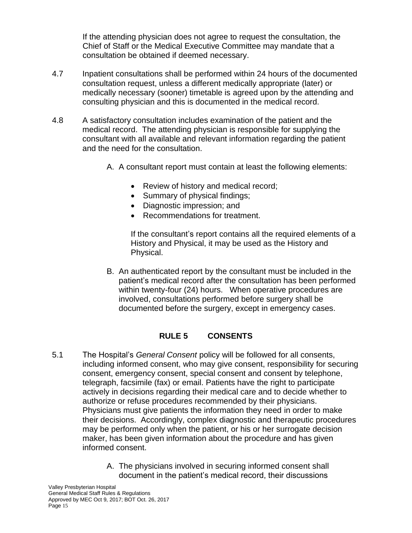If the attending physician does not agree to request the consultation, the Chief of Staff or the Medical Executive Committee may mandate that a consultation be obtained if deemed necessary.

- 4.7 Inpatient consultations shall be performed within 24 hours of the documented consultation request, unless a different medically appropriate (later) or medically necessary (sooner) timetable is agreed upon by the attending and consulting physician and this is documented in the medical record.
- 4.8 A satisfactory consultation includes examination of the patient and the medical record. The attending physician is responsible for supplying the consultant with all available and relevant information regarding the patient and the need for the consultation.
	- A. A consultant report must contain at least the following elements:
		- Review of history and medical record;
		- Summary of physical findings;
		- Diagnostic impression; and
		- Recommendations for treatment.

If the consultant's report contains all the required elements of a History and Physical, it may be used as the History and Physical.

B. An authenticated report by the consultant must be included in the patient's medical record after the consultation has been performed within twenty-four (24) hours. When operative procedures are involved, consultations performed before surgery shall be documented before the surgery, except in emergency cases.

## **RULE 5 CONSENTS**

- 5.1 The Hospital's *General Consent* policy will be followed for all consents, including informed consent, who may give consent, responsibility for securing consent, emergency consent, special consent and consent by telephone, telegraph, facsimile (fax) or email. Patients have the right to participate actively in decisions regarding their medical care and to decide whether to authorize or refuse procedures recommended by their physicians. Physicians must give patients the information they need in order to make their decisions. Accordingly, complex diagnostic and therapeutic procedures may be performed only when the patient, or his or her surrogate decision maker, has been given information about the procedure and has given informed consent.
	- A. The physicians involved in securing informed consent shall document in the patient's medical record, their discussions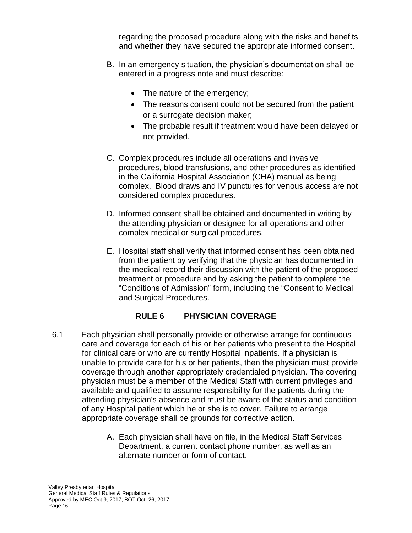regarding the proposed procedure along with the risks and benefits and whether they have secured the appropriate informed consent.

- B. In an emergency situation, the physician's documentation shall be entered in a progress note and must describe:
	- The nature of the emergency;
	- The reasons consent could not be secured from the patient or a surrogate decision maker;
	- The probable result if treatment would have been delayed or not provided.
- C. Complex procedures include all operations and invasive procedures, blood transfusions, and other procedures as identified in the California Hospital Association (CHA) manual as being complex. Blood draws and IV punctures for venous access are not considered complex procedures.
- D. Informed consent shall be obtained and documented in writing by the attending physician or designee for all operations and other complex medical or surgical procedures.
- E. Hospital staff shall verify that informed consent has been obtained from the patient by verifying that the physician has documented in the medical record their discussion with the patient of the proposed treatment or procedure and by asking the patient to complete the "Conditions of Admission" form, including the "Consent to Medical and Surgical Procedures.

# **RULE 6 PHYSICIAN COVERAGE**

- 6.1 Each physician shall personally provide or otherwise arrange for continuous care and coverage for each of his or her patients who present to the Hospital for clinical care or who are currently Hospital inpatients. If a physician is unable to provide care for his or her patients, then the physician must provide coverage through another appropriately credentialed physician. The covering physician must be a member of the Medical Staff with current privileges and available and qualified to assume responsibility for the patients during the attending physician's absence and must be aware of the status and condition of any Hospital patient which he or she is to cover. Failure to arrange appropriate coverage shall be grounds for corrective action.
	- A. Each physician shall have on file, in the Medical Staff Services Department, a current contact phone number, as well as an alternate number or form of contact.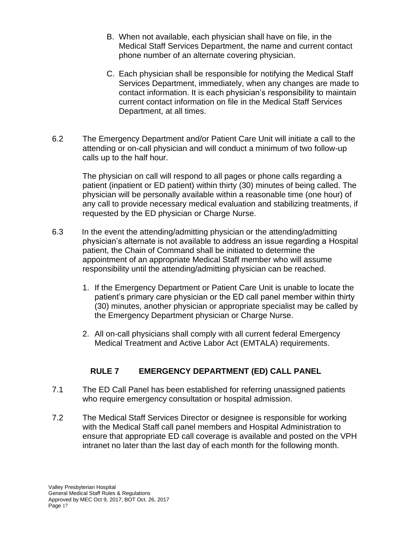- B. When not available, each physician shall have on file, in the Medical Staff Services Department, the name and current contact phone number of an alternate covering physician.
- C. Each physician shall be responsible for notifying the Medical Staff Services Department, immediately, when any changes are made to contact information. It is each physician's responsibility to maintain current contact information on file in the Medical Staff Services Department, at all times.
- 6.2 The Emergency Department and/or Patient Care Unit will initiate a call to the attending or on-call physician and will conduct a minimum of two follow-up calls up to the half hour.

The physician on call will respond to all pages or phone calls regarding a patient (inpatient or ED patient) within thirty (30) minutes of being called. The physician will be personally available within a reasonable time (one hour) of any call to provide necessary medical evaluation and stabilizing treatments, if requested by the ED physician or Charge Nurse.

- 6.3 In the event the attending/admitting physician or the attending/admitting physician's alternate is not available to address an issue regarding a Hospital patient, the Chain of Command shall be initiated to determine the appointment of an appropriate Medical Staff member who will assume responsibility until the attending/admitting physician can be reached.
	- 1. If the Emergency Department or Patient Care Unit is unable to locate the patient's primary care physician or the ED call panel member within thirty (30) minutes, another physician or appropriate specialist may be called by the Emergency Department physician or Charge Nurse.
	- 2. All on-call physicians shall comply with all current federal Emergency Medical Treatment and Active Labor Act (EMTALA) requirements.

# **RULE 7 EMERGENCY DEPARTMENT (ED) CALL PANEL**

- 7.1 The ED Call Panel has been established for referring unassigned patients who require emergency consultation or hospital admission.
- 7.2 The Medical Staff Services Director or designee is responsible for working with the Medical Staff call panel members and Hospital Administration to ensure that appropriate ED call coverage is available and posted on the VPH intranet no later than the last day of each month for the following month.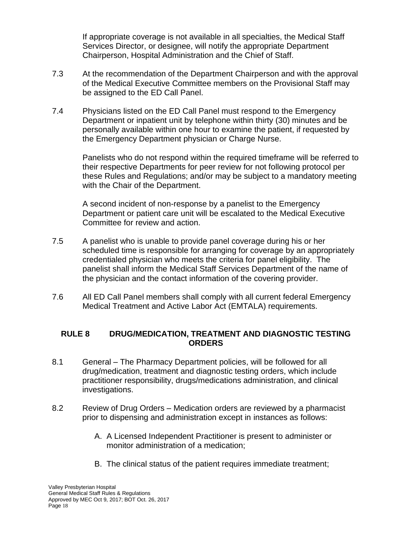If appropriate coverage is not available in all specialties, the Medical Staff Services Director, or designee, will notify the appropriate Department Chairperson, Hospital Administration and the Chief of Staff.

- 7.3 At the recommendation of the Department Chairperson and with the approval of the Medical Executive Committee members on the Provisional Staff may be assigned to the ED Call Panel.
- 7.4 Physicians listed on the ED Call Panel must respond to the Emergency Department or inpatient unit by telephone within thirty (30) minutes and be personally available within one hour to examine the patient, if requested by the Emergency Department physician or Charge Nurse.

Panelists who do not respond within the required timeframe will be referred to their respective Departments for peer review for not following protocol per these Rules and Regulations; and/or may be subject to a mandatory meeting with the Chair of the Department.

A second incident of non-response by a panelist to the Emergency Department or patient care unit will be escalated to the Medical Executive Committee for review and action.

- 7.5 A panelist who is unable to provide panel coverage during his or her scheduled time is responsible for arranging for coverage by an appropriately credentialed physician who meets the criteria for panel eligibility. The panelist shall inform the Medical Staff Services Department of the name of the physician and the contact information of the covering provider.
- 7.6 All ED Call Panel members shall comply with all current federal Emergency Medical Treatment and Active Labor Act (EMTALA) requirements.

## **RULE 8 DRUG/MEDICATION, TREATMENT AND DIAGNOSTIC TESTING ORDERS**

- 8.1 General The Pharmacy Department policies, will be followed for all drug/medication, treatment and diagnostic testing orders, which include practitioner responsibility, drugs/medications administration, and clinical investigations.
- 8.2 Review of Drug Orders Medication orders are reviewed by a pharmacist prior to dispensing and administration except in instances as follows:
	- A. A Licensed Independent Practitioner is present to administer or monitor administration of a medication;
	- B. The clinical status of the patient requires immediate treatment;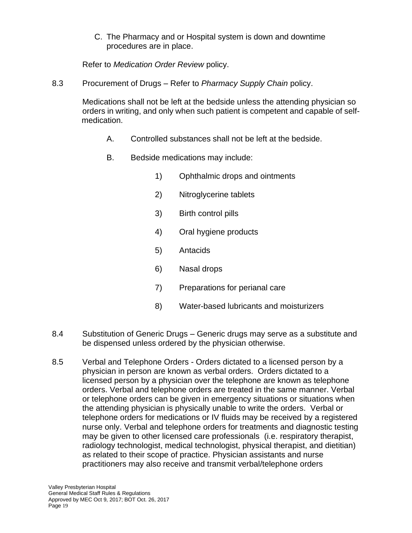C. The Pharmacy and or Hospital system is down and downtime procedures are in place.

Refer to *Medication Order Review* policy.

8.3 Procurement of Drugs – Refer to *Pharmacy Supply Chain* policy.

Medications shall not be left at the bedside unless the attending physician so orders in writing, and only when such patient is competent and capable of selfmedication.

- A. Controlled substances shall not be left at the bedside.
- B. Bedside medications may include:
	- 1) Ophthalmic drops and ointments
	- 2) Nitroglycerine tablets
	- 3) Birth control pills
	- 4) Oral hygiene products
	- 5) Antacids
	- 6) Nasal drops
	- 7) Preparations for perianal care
	- 8) Water-based lubricants and moisturizers
- 8.4 Substitution of Generic Drugs Generic drugs may serve as a substitute and be dispensed unless ordered by the physician otherwise.
- 8.5 Verbal and Telephone Orders Orders dictated to a licensed person by a physician in person are known as verbal orders. Orders dictated to a licensed person by a physician over the telephone are known as telephone orders. Verbal and telephone orders are treated in the same manner. Verbal or telephone orders can be given in emergency situations or situations when the attending physician is physically unable to write the orders. Verbal or telephone orders for medications or IV fluids may be received by a registered nurse only. Verbal and telephone orders for treatments and diagnostic testing may be given to other licensed care professionals (i.e. respiratory therapist, radiology technologist, medical technologist, physical therapist, and dietitian) as related to their scope of practice. Physician assistants and nurse practitioners may also receive and transmit verbal/telephone orders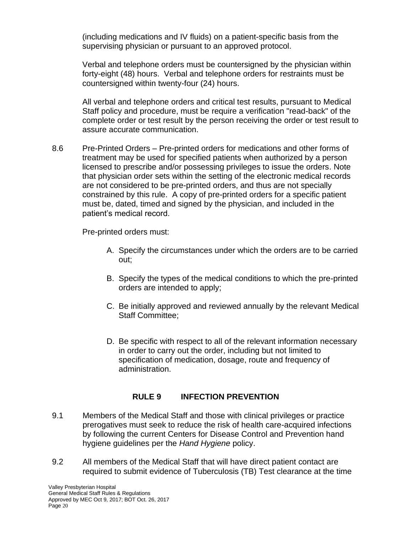(including medications and IV fluids) on a patient-specific basis from the supervising physician or pursuant to an approved protocol.

Verbal and telephone orders must be countersigned by the physician within forty-eight (48) hours. Verbal and telephone orders for restraints must be countersigned within twenty-four (24) hours.

All verbal and telephone orders and critical test results, pursuant to Medical Staff policy and procedure, must be require a verification "read-back" of the complete order or test result by the person receiving the order or test result to assure accurate communication.

8.6 Pre-Printed Orders – Pre-printed orders for medications and other forms of treatment may be used for specified patients when authorized by a person licensed to prescribe and/or possessing privileges to issue the orders. Note that physician order sets within the setting of the electronic medical records are not considered to be pre-printed orders, and thus are not specially constrained by this rule. A copy of pre-printed orders for a specific patient must be, dated, timed and signed by the physician, and included in the patient's medical record.

Pre-printed orders must:

- A. Specify the circumstances under which the orders are to be carried out;
- B. Specify the types of the medical conditions to which the pre-printed orders are intended to apply;
- C. Be initially approved and reviewed annually by the relevant Medical Staff Committee;
- D. Be specific with respect to all of the relevant information necessary in order to carry out the order, including but not limited to specification of medication, dosage, route and frequency of administration.

# **RULE 9 INFECTION PREVENTION**

- 9.1 Members of the Medical Staff and those with clinical privileges or practice prerogatives must seek to reduce the risk of health care-acquired infections by following the current Centers for Disease Control and Prevention hand hygiene guidelines per the *Hand Hygiene* policy.
- 9.2 All members of the Medical Staff that will have direct patient contact are required to submit evidence of Tuberculosis (TB) Test clearance at the time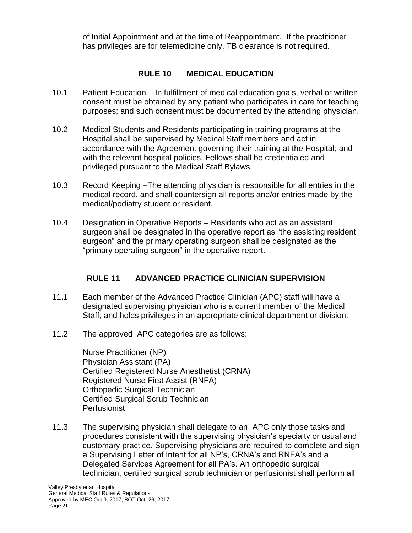of Initial Appointment and at the time of Reappointment. If the practitioner has privileges are for telemedicine only, TB clearance is not required.

## **RULE 10 MEDICAL EDUCATION**

- 10.1 Patient Education In fulfillment of medical education goals, verbal or written consent must be obtained by any patient who participates in care for teaching purposes; and such consent must be documented by the attending physician.
- 10.2 Medical Students and Residents participating in training programs at the Hospital shall be supervised by Medical Staff members and act in accordance with the Agreement governing their training at the Hospital; and with the relevant hospital policies. Fellows shall be credentialed and privileged pursuant to the Medical Staff Bylaws.
- 10.3 Record Keeping –The attending physician is responsible for all entries in the medical record, and shall countersign all reports and/or entries made by the medical/podiatry student or resident.
- 10.4 Designation in Operative Reports Residents who act as an assistant surgeon shall be designated in the operative report as "the assisting resident surgeon" and the primary operating surgeon shall be designated as the "primary operating surgeon" in the operative report.

# **RULE 11 ADVANCED PRACTICE CLINICIAN SUPERVISION**

- 11.1 Each member of the Advanced Practice Clinician (APC) staff will have a designated supervising physician who is a current member of the Medical Staff, and holds privileges in an appropriate clinical department or division.
- 11.2 The approved APC categories are as follows:

Nurse Practitioner (NP) Physician Assistant (PA) Certified Registered Nurse Anesthetist (CRNA) Registered Nurse First Assist (RNFA) Orthopedic Surgical Technician Certified Surgical Scrub Technician Perfusionist

11.3 The supervising physician shall delegate to an APC only those tasks and procedures consistent with the supervising physician's specialty or usual and customary practice. Supervising physicians are required to complete and sign a Supervising Letter of Intent for all NP's, CRNA's and RNFA's and a Delegated Services Agreement for all PA's. An orthopedic surgical technician, certified surgical scrub technician or perfusionist shall perform all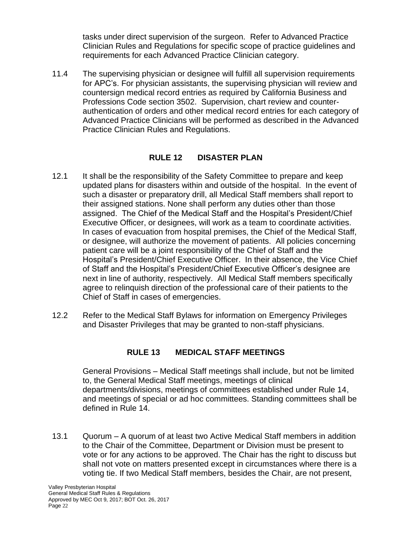tasks under direct supervision of the surgeon. Refer to Advanced Practice Clinician Rules and Regulations for specific scope of practice guidelines and requirements for each Advanced Practice Clinician category.

11.4 The supervising physician or designee will fulfill all supervision requirements for APC's. For physician assistants, the supervising physician will review and countersign medical record entries as required by California Business and Professions Code section 3502. Supervision, chart review and counterauthentication of orders and other medical record entries for each category of Advanced Practice Clinicians will be performed as described in the Advanced Practice Clinician Rules and Regulations.

## **RULE 12 DISASTER PLAN**

- 12.1 It shall be the responsibility of the Safety Committee to prepare and keep updated plans for disasters within and outside of the hospital. In the event of such a disaster or preparatory drill, all Medical Staff members shall report to their assigned stations. None shall perform any duties other than those assigned. The Chief of the Medical Staff and the Hospital's President/Chief Executive Officer, or designees, will work as a team to coordinate activities. In cases of evacuation from hospital premises, the Chief of the Medical Staff, or designee, will authorize the movement of patients. All policies concerning patient care will be a joint responsibility of the Chief of Staff and the Hospital's President/Chief Executive Officer. In their absence, the Vice Chief of Staff and the Hospital's President/Chief Executive Officer's designee are next in line of authority, respectively. All Medical Staff members specifically agree to relinquish direction of the professional care of their patients to the Chief of Staff in cases of emergencies.
- 12.2 Refer to the Medical Staff Bylaws for information on Emergency Privileges and Disaster Privileges that may be granted to non-staff physicians.

# **RULE 13 MEDICAL STAFF MEETINGS**

General Provisions – Medical Staff meetings shall include, but not be limited to, the General Medical Staff meetings, meetings of clinical departments/divisions, meetings of committees established under Rule 14, and meetings of special or ad hoc committees. Standing committees shall be defined in Rule 14.

13.1 Quorum – A quorum of at least two Active Medical Staff members in addition to the Chair of the Committee, Department or Division must be present to vote or for any actions to be approved. The Chair has the right to discuss but shall not vote on matters presented except in circumstances where there is a voting tie. If two Medical Staff members, besides the Chair, are not present,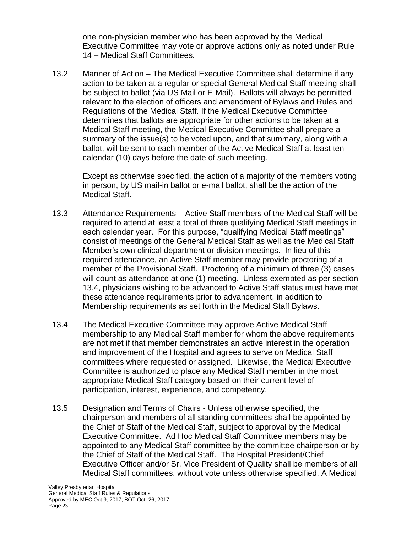one non-physician member who has been approved by the Medical Executive Committee may vote or approve actions only as noted under Rule 14 – Medical Staff Committees.

13.2 Manner of Action – The Medical Executive Committee shall determine if any action to be taken at a regular or special General Medical Staff meeting shall be subject to ballot (via US Mail or E-Mail). Ballots will always be permitted relevant to the election of officers and amendment of Bylaws and Rules and Regulations of the Medical Staff. If the Medical Executive Committee determines that ballots are appropriate for other actions to be taken at a Medical Staff meeting, the Medical Executive Committee shall prepare a summary of the issue(s) to be voted upon, and that summary, along with a ballot, will be sent to each member of the Active Medical Staff at least ten calendar (10) days before the date of such meeting.

Except as otherwise specified, the action of a majority of the members voting in person, by US mail-in ballot or e-mail ballot, shall be the action of the Medical Staff.

- 13.3 Attendance Requirements Active Staff members of the Medical Staff will be required to attend at least a total of three qualifying Medical Staff meetings in each calendar year. For this purpose, "qualifying Medical Staff meetings" consist of meetings of the General Medical Staff as well as the Medical Staff Member's own clinical department or division meetings. In lieu of this required attendance, an Active Staff member may provide proctoring of a member of the Provisional Staff. Proctoring of a minimum of three (3) cases will count as attendance at one (1) meeting. Unless exempted as per section 13.4, physicians wishing to be advanced to Active Staff status must have met these attendance requirements prior to advancement, in addition to Membership requirements as set forth in the Medical Staff Bylaws.
- 13.4 The Medical Executive Committee may approve Active Medical Staff membership to any Medical Staff member for whom the above requirements are not met if that member demonstrates an active interest in the operation and improvement of the Hospital and agrees to serve on Medical Staff committees where requested or assigned. Likewise, the Medical Executive Committee is authorized to place any Medical Staff member in the most appropriate Medical Staff category based on their current level of participation, interest, experience, and competency.
- 13.5 Designation and Terms of Chairs Unless otherwise specified, the chairperson and members of all standing committees shall be appointed by the Chief of Staff of the Medical Staff, subject to approval by the Medical Executive Committee. Ad Hoc Medical Staff Committee members may be appointed to any Medical Staff committee by the committee chairperson or by the Chief of Staff of the Medical Staff. The Hospital President/Chief Executive Officer and/or Sr. Vice President of Quality shall be members of all Medical Staff committees, without vote unless otherwise specified. A Medical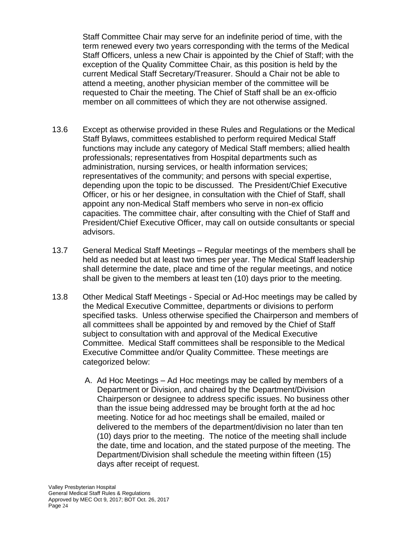Staff Committee Chair may serve for an indefinite period of time, with the term renewed every two years corresponding with the terms of the Medical Staff Officers, unless a new Chair is appointed by the Chief of Staff; with the exception of the Quality Committee Chair, as this position is held by the current Medical Staff Secretary/Treasurer. Should a Chair not be able to attend a meeting, another physician member of the committee will be requested to Chair the meeting. The Chief of Staff shall be an ex-officio member on all committees of which they are not otherwise assigned.

- 13.6 Except as otherwise provided in these Rules and Regulations or the Medical Staff Bylaws, committees established to perform required Medical Staff functions may include any category of Medical Staff members; allied health professionals; representatives from Hospital departments such as administration, nursing services, or health information services; representatives of the community; and persons with special expertise, depending upon the topic to be discussed. The President/Chief Executive Officer, or his or her designee, in consultation with the Chief of Staff, shall appoint any non-Medical Staff members who serve in non-ex officio capacities. The committee chair, after consulting with the Chief of Staff and President/Chief Executive Officer, may call on outside consultants or special advisors.
- 13.7 General Medical Staff Meetings Regular meetings of the members shall be held as needed but at least two times per year. The Medical Staff leadership shall determine the date, place and time of the regular meetings, and notice shall be given to the members at least ten (10) days prior to the meeting.
- 13.8 Other Medical Staff Meetings Special or Ad-Hoc meetings may be called by the Medical Executive Committee, departments or divisions to perform specified tasks. Unless otherwise specified the Chairperson and members of all committees shall be appointed by and removed by the Chief of Staff subject to consultation with and approval of the Medical Executive Committee. Medical Staff committees shall be responsible to the Medical Executive Committee and/or Quality Committee. These meetings are categorized below:
	- A. Ad Hoc Meetings Ad Hoc meetings may be called by members of a Department or Division, and chaired by the Department/Division Chairperson or designee to address specific issues. No business other than the issue being addressed may be brought forth at the ad hoc meeting. Notice for ad hoc meetings shall be emailed, mailed or delivered to the members of the department/division no later than ten (10) days prior to the meeting. The notice of the meeting shall include the date, time and location, and the stated purpose of the meeting. The Department/Division shall schedule the meeting within fifteen (15) days after receipt of request.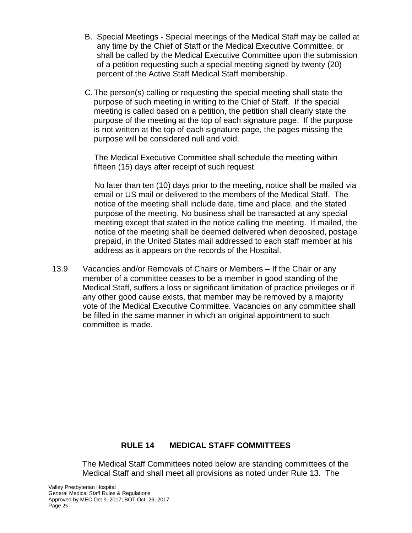- B. Special Meetings Special meetings of the Medical Staff may be called at any time by the Chief of Staff or the Medical Executive Committee, or shall be called by the Medical Executive Committee upon the submission of a petition requesting such a special meeting signed by twenty (20) percent of the Active Staff Medical Staff membership.
- C.The person(s) calling or requesting the special meeting shall state the purpose of such meeting in writing to the Chief of Staff. If the special meeting is called based on a petition, the petition shall clearly state the purpose of the meeting at the top of each signature page. If the purpose is not written at the top of each signature page, the pages missing the purpose will be considered null and void.

The Medical Executive Committee shall schedule the meeting within fifteen (15) days after receipt of such request.

No later than ten (10) days prior to the meeting, notice shall be mailed via email or US mail or delivered to the members of the Medical Staff. The notice of the meeting shall include date, time and place, and the stated purpose of the meeting. No business shall be transacted at any special meeting except that stated in the notice calling the meeting. If mailed, the notice of the meeting shall be deemed delivered when deposited, postage prepaid, in the United States mail addressed to each staff member at his address as it appears on the records of the Hospital.

13.9 Vacancies and/or Removals of Chairs or Members – If the Chair or any member of a committee ceases to be a member in good standing of the Medical Staff, suffers a loss or significant limitation of practice privileges or if any other good cause exists, that member may be removed by a majority vote of the Medical Executive Committee. Vacancies on any committee shall be filled in the same manner in which an original appointment to such committee is made.

## **RULE 14 MEDICAL STAFF COMMITTEES**

The Medical Staff Committees noted below are standing committees of the Medical Staff and shall meet all provisions as noted under Rule 13. The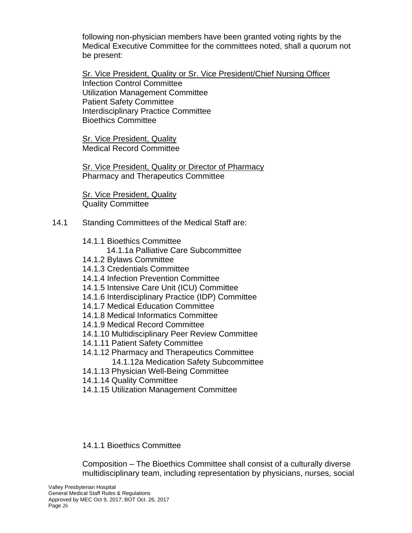following non-physician members have been granted voting rights by the Medical Executive Committee for the committees noted, shall a quorum not be present:

Sr. Vice President, Quality or Sr. Vice President/Chief Nursing Officer Infection Control Committee Utilization Management Committee Patient Safety Committee Interdisciplinary Practice Committee Bioethics Committee

Sr. Vice President, Quality Medical Record Committee

Sr. Vice President, Quality or Director of Pharmacy Pharmacy and Therapeutics Committee

**Sr. Vice President, Quality** Quality Committee

- 14.1 Standing Committees of the Medical Staff are:
	- 14.1.1 Bioethics Committee
		- 14.1.1a Palliative Care Subcommittee
	- 14.1.2 Bylaws Committee
	- 14.1.3 Credentials Committee
	- 14.1.4 Infection Prevention Committee
	- 14.1.5 Intensive Care Unit (ICU) Committee
	- 14.1.6 Interdisciplinary Practice (IDP) Committee
	- 14.1.7 Medical Education Committee
	- 14.1.8 Medical Informatics Committee
	- 14.1.9 Medical Record Committee
	- 14.1.10 Multidisciplinary Peer Review Committee
	- 14.1.11 Patient Safety Committee
	- 14.1.12 Pharmacy and Therapeutics Committee
		- 14.1.12a Medication Safety Subcommittee
	- 14.1.13 Physician Well-Being Committee
	- 14.1.14 Quality Committee
	- 14.1.15 Utilization Management Committee

# 14.1.1 Bioethics Committee

Composition – The Bioethics Committee shall consist of a culturally diverse multidisciplinary team, including representation by physicians, nurses, social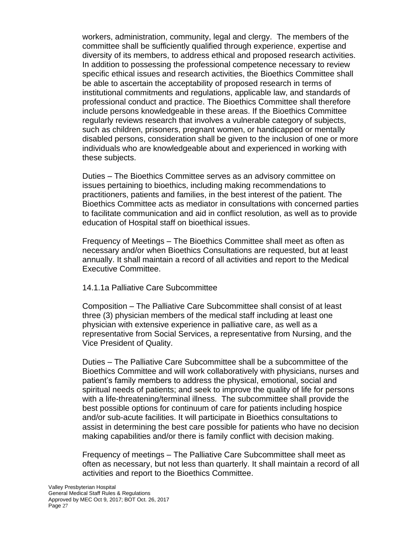workers, administration, community, legal and clergy. The members of the committee shall be sufficiently qualified through experience, expertise and diversity of its members, to address ethical and proposed research activities. In addition to possessing the professional competence necessary to review specific ethical issues and research activities, the Bioethics Committee shall be able to ascertain the acceptability of proposed research in terms of institutional commitments and regulations, applicable law, and standards of professional conduct and practice. The Bioethics Committee shall therefore include persons knowledgeable in these areas. If the Bioethics Committee regularly reviews research that involves a vulnerable category of subjects, such as children, prisoners, pregnant women, or handicapped or mentally disabled persons, consideration shall be given to the inclusion of one or more individuals who are knowledgeable about and experienced in working with these subjects.

Duties – The Bioethics Committee serves as an advisory committee on issues pertaining to bioethics, including making recommendations to practitioners, patients and families, in the best interest of the patient. The Bioethics Committee acts as mediator in consultations with concerned parties to facilitate communication and aid in conflict resolution, as well as to provide education of Hospital staff on bioethical issues.

Frequency of Meetings – The Bioethics Committee shall meet as often as necessary and/or when Bioethics Consultations are requested, but at least annually. It shall maintain a record of all activities and report to the Medical Executive Committee.

## 14.1.1a Palliative Care Subcommittee

Composition – The Palliative Care Subcommittee shall consist of at least three (3) physician members of the medical staff including at least one physician with extensive experience in palliative care, as well as a representative from Social Services, a representative from Nursing, and the Vice President of Quality.

Duties – The Palliative Care Subcommittee shall be a subcommittee of the Bioethics Committee and will work collaboratively with physicians, nurses and patient's family members to address the physical, emotional, social and spiritual needs of patients; and seek to improve the quality of life for persons with a life-threatening/terminal illness. The subcommittee shall provide the best possible options for continuum of care for patients including hospice and/or sub-acute facilities. It will participate in Bioethics consultations to assist in determining the best care possible for patients who have no decision making capabilities and/or there is family conflict with decision making.

Frequency of meetings – The Palliative Care Subcommittee shall meet as often as necessary, but not less than quarterly. It shall maintain a record of all activities and report to the Bioethics Committee.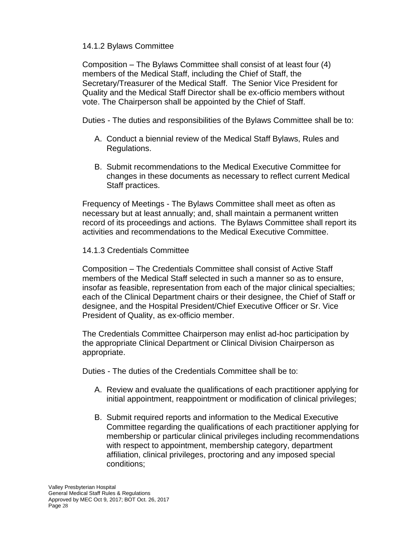## 14.1.2 Bylaws Committee

Composition – The Bylaws Committee shall consist of at least four (4) members of the Medical Staff, including the Chief of Staff, the Secretary/Treasurer of the Medical Staff. The Senior Vice President for Quality and the Medical Staff Director shall be ex-officio members without vote. The Chairperson shall be appointed by the Chief of Staff.

Duties - The duties and responsibilities of the Bylaws Committee shall be to:

- A. Conduct a biennial review of the Medical Staff Bylaws, Rules and Regulations.
- B. Submit recommendations to the Medical Executive Committee for changes in these documents as necessary to reflect current Medical Staff practices.

Frequency of Meetings - The Bylaws Committee shall meet as often as necessary but at least annually; and, shall maintain a permanent written record of its proceedings and actions. The Bylaws Committee shall report its activities and recommendations to the Medical Executive Committee.

## 14.1.3 Credentials Committee

Composition – The Credentials Committee shall consist of Active Staff members of the Medical Staff selected in such a manner so as to ensure, insofar as feasible, representation from each of the major clinical specialties; each of the Clinical Department chairs or their designee, the Chief of Staff or designee, and the Hospital President/Chief Executive Officer or Sr. Vice President of Quality, as ex-officio member.

The Credentials Committee Chairperson may enlist ad-hoc participation by the appropriate Clinical Department or Clinical Division Chairperson as appropriate.

Duties - The duties of the Credentials Committee shall be to:

- A. Review and evaluate the qualifications of each practitioner applying for initial appointment, reappointment or modification of clinical privileges;
- B. Submit required reports and information to the Medical Executive Committee regarding the qualifications of each practitioner applying for membership or particular clinical privileges including recommendations with respect to appointment, membership category, department affiliation, clinical privileges, proctoring and any imposed special conditions;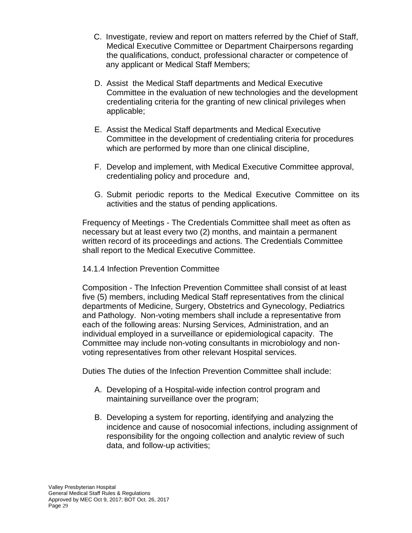- C. Investigate, review and report on matters referred by the Chief of Staff, Medical Executive Committee or Department Chairpersons regarding the qualifications, conduct, professional character or competence of any applicant or Medical Staff Members;
- D. Assist the Medical Staff departments and Medical Executive Committee in the evaluation of new technologies and the development credentialing criteria for the granting of new clinical privileges when applicable;
- E. Assist the Medical Staff departments and Medical Executive Committee in the development of credentialing criteria for procedures which are performed by more than one clinical discipline,
- F. Develop and implement, with Medical Executive Committee approval, credentialing policy and procedure and,
- G. Submit periodic reports to the Medical Executive Committee on its activities and the status of pending applications.

Frequency of Meetings - The Credentials Committee shall meet as often as necessary but at least every two (2) months, and maintain a permanent written record of its proceedings and actions. The Credentials Committee shall report to the Medical Executive Committee.

## 14.1.4 Infection Prevention Committee

Composition - The Infection Prevention Committee shall consist of at least five (5) members, including Medical Staff representatives from the clinical departments of Medicine, Surgery, Obstetrics and Gynecology, Pediatrics and Pathology. Non-voting members shall include a representative from each of the following areas: Nursing Services, Administration, and an individual employed in a surveillance or epidemiological capacity. The Committee may include non-voting consultants in microbiology and nonvoting representatives from other relevant Hospital services.

Duties The duties of the Infection Prevention Committee shall include:

- A. Developing of a Hospital-wide infection control program and maintaining surveillance over the program;
- B. Developing a system for reporting, identifying and analyzing the incidence and cause of nosocomial infections, including assignment of responsibility for the ongoing collection and analytic review of such data, and follow-up activities;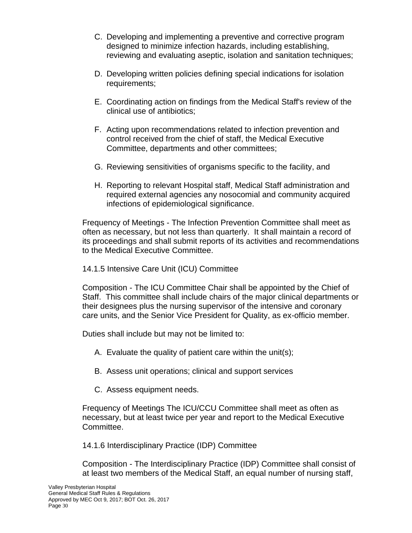- C. Developing and implementing a preventive and corrective program designed to minimize infection hazards, including establishing, reviewing and evaluating aseptic, isolation and sanitation techniques;
- D. Developing written policies defining special indications for isolation requirements;
- E. Coordinating action on findings from the Medical Staff's review of the clinical use of antibiotics;
- F. Acting upon recommendations related to infection prevention and control received from the chief of staff, the Medical Executive Committee, departments and other committees;
- G. Reviewing sensitivities of organisms specific to the facility, and
- H. Reporting to relevant Hospital staff, Medical Staff administration and required external agencies any nosocomial and community acquired infections of epidemiological significance.

Frequency of Meetings - The Infection Prevention Committee shall meet as often as necessary, but not less than quarterly. It shall maintain a record of its proceedings and shall submit reports of its activities and recommendations to the Medical Executive Committee.

## 14.1.5 Intensive Care Unit (ICU) Committee

Composition - The ICU Committee Chair shall be appointed by the Chief of Staff. This committee shall include chairs of the major clinical departments or their designees plus the nursing supervisor of the intensive and coronary care units, and the Senior Vice President for Quality, as ex-officio member.

Duties shall include but may not be limited to:

- A. Evaluate the quality of patient care within the unit(s);
- B. Assess unit operations; clinical and support services
- C. Assess equipment needs.

Frequency of Meetings The ICU/CCU Committee shall meet as often as necessary, but at least twice per year and report to the Medical Executive Committee.

14.1.6 Interdisciplinary Practice (IDP) Committee

Composition - The Interdisciplinary Practice (IDP) Committee shall consist of at least two members of the Medical Staff, an equal number of nursing staff,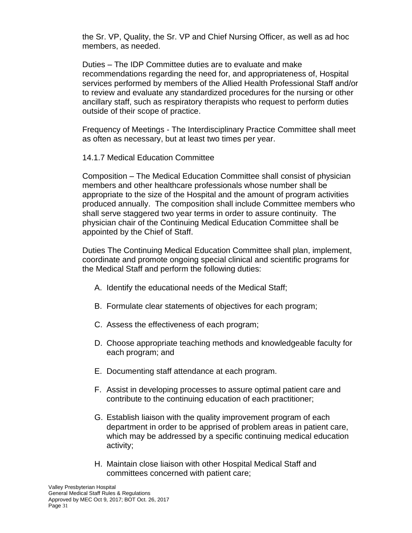the Sr. VP, Quality, the Sr. VP and Chief Nursing Officer, as well as ad hoc members, as needed.

Duties – The IDP Committee duties are to evaluate and make recommendations regarding the need for, and appropriateness of, Hospital services performed by members of the Allied Health Professional Staff and/or to review and evaluate any standardized procedures for the nursing or other ancillary staff, such as respiratory therapists who request to perform duties outside of their scope of practice.

Frequency of Meetings - The Interdisciplinary Practice Committee shall meet as often as necessary, but at least two times per year.

14.1.7 Medical Education Committee

Composition – The Medical Education Committee shall consist of physician members and other healthcare professionals whose number shall be appropriate to the size of the Hospital and the amount of program activities produced annually. The composition shall include Committee members who shall serve staggered two year terms in order to assure continuity. The physician chair of the Continuing Medical Education Committee shall be appointed by the Chief of Staff.

Duties The Continuing Medical Education Committee shall plan, implement, coordinate and promote ongoing special clinical and scientific programs for the Medical Staff and perform the following duties:

- A. Identify the educational needs of the Medical Staff;
- B. Formulate clear statements of objectives for each program;
- C. Assess the effectiveness of each program;
- D. Choose appropriate teaching methods and knowledgeable faculty for each program; and
- E. Documenting staff attendance at each program.
- F. Assist in developing processes to assure optimal patient care and contribute to the continuing education of each practitioner;
- G. Establish liaison with the quality improvement program of each department in order to be apprised of problem areas in patient care, which may be addressed by a specific continuing medical education activity;
- H. Maintain close liaison with other Hospital Medical Staff and committees concerned with patient care;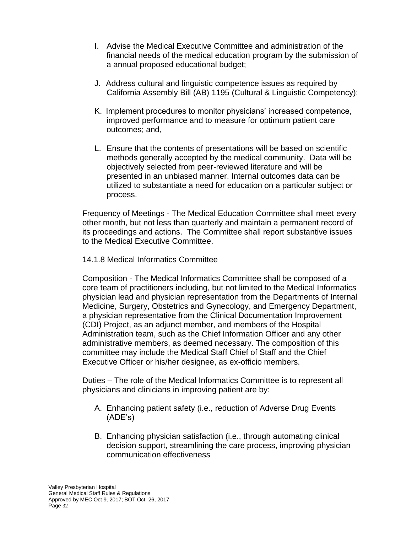- I. Advise the Medical Executive Committee and administration of the financial needs of the medical education program by the submission of a annual proposed educational budget;
- J. Address cultural and linguistic competence issues as required by California Assembly Bill (AB) 1195 (Cultural & Linguistic Competency);
- K. Implement procedures to monitor physicians' increased competence, improved performance and to measure for optimum patient care outcomes; and,
- L. Ensure that the contents of presentations will be based on scientific methods generally accepted by the medical community. Data will be objectively selected from peer-reviewed literature and will be presented in an unbiased manner. Internal outcomes data can be utilized to substantiate a need for education on a particular subject or process.

Frequency of Meetings - The Medical Education Committee shall meet every other month, but not less than quarterly and maintain a permanent record of its proceedings and actions. The Committee shall report substantive issues to the Medical Executive Committee.

## 14.1.8 Medical Informatics Committee

Composition - The Medical Informatics Committee shall be composed of a core team of practitioners including, but not limited to the Medical Informatics physician lead and physician representation from the Departments of Internal Medicine, Surgery, Obstetrics and Gynecology, and Emergency Department, a physician representative from the Clinical Documentation Improvement (CDI) Project, as an adjunct member, and members of the Hospital Administration team, such as the Chief Information Officer and any other administrative members, as deemed necessary. The composition of this committee may include the Medical Staff Chief of Staff and the Chief Executive Officer or his/her designee, as ex-officio members.

Duties – The role of the Medical Informatics Committee is to represent all physicians and clinicians in improving patient are by:

- A. Enhancing patient safety (i.e., reduction of Adverse Drug Events (ADE's)
- B. Enhancing physician satisfaction (i.e., through automating clinical decision support, streamlining the care process, improving physician communication effectiveness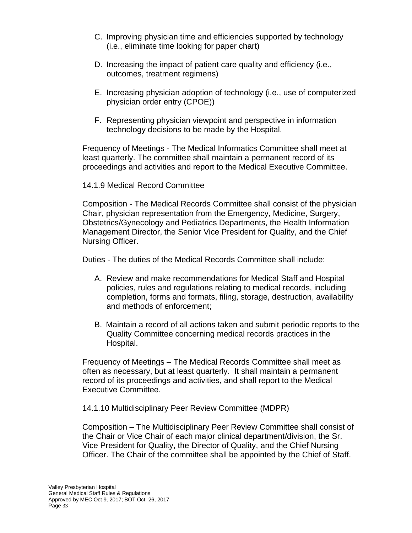- C. Improving physician time and efficiencies supported by technology (i.e., eliminate time looking for paper chart)
- D. Increasing the impact of patient care quality and efficiency (i.e., outcomes, treatment regimens)
- E. Increasing physician adoption of technology (i.e., use of computerized physician order entry (CPOE))
- F. Representing physician viewpoint and perspective in information technology decisions to be made by the Hospital.

Frequency of Meetings - The Medical Informatics Committee shall meet at least quarterly. The committee shall maintain a permanent record of its proceedings and activities and report to the Medical Executive Committee.

## 14.1.9 Medical Record Committee

Composition - The Medical Records Committee shall consist of the physician Chair, physician representation from the Emergency, Medicine, Surgery, Obstetrics/Gynecology and Pediatrics Departments, the Health Information Management Director, the Senior Vice President for Quality, and the Chief Nursing Officer.

Duties - The duties of the Medical Records Committee shall include:

- A. Review and make recommendations for Medical Staff and Hospital policies, rules and regulations relating to medical records, including completion, forms and formats, filing, storage, destruction, availability and methods of enforcement;
- B. Maintain a record of all actions taken and submit periodic reports to the Quality Committee concerning medical records practices in the Hospital.

Frequency of Meetings – The Medical Records Committee shall meet as often as necessary, but at least quarterly. It shall maintain a permanent record of its proceedings and activities, and shall report to the Medical Executive Committee.

14.1.10 Multidisciplinary Peer Review Committee (MDPR)

Composition – The Multidisciplinary Peer Review Committee shall consist of the Chair or Vice Chair of each major clinical department/division, the Sr. Vice President for Quality, the Director of Quality, and the Chief Nursing Officer. The Chair of the committee shall be appointed by the Chief of Staff.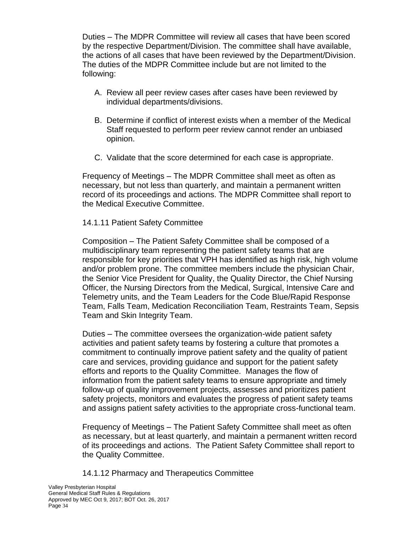Duties – The MDPR Committee will review all cases that have been scored by the respective Department/Division. The committee shall have available, the actions of all cases that have been reviewed by the Department/Division. The duties of the MDPR Committee include but are not limited to the following:

- A. Review all peer review cases after cases have been reviewed by individual departments/divisions.
- B. Determine if conflict of interest exists when a member of the Medical Staff requested to perform peer review cannot render an unbiased opinion.
- C. Validate that the score determined for each case is appropriate.

Frequency of Meetings – The MDPR Committee shall meet as often as necessary, but not less than quarterly, and maintain a permanent written record of its proceedings and actions. The MDPR Committee shall report to the Medical Executive Committee.

## 14.1.11 Patient Safety Committee

Composition – The Patient Safety Committee shall be composed of a multidisciplinary team representing the patient safety teams that are responsible for key priorities that VPH has identified as high risk, high volume and/or problem prone. The committee members include the physician Chair, the Senior Vice President for Quality, the Quality Director, the Chief Nursing Officer, the Nursing Directors from the Medical, Surgical, Intensive Care and Telemetry units, and the Team Leaders for the Code Blue/Rapid Response Team, Falls Team, Medication Reconciliation Team, Restraints Team, Sepsis Team and Skin Integrity Team.

Duties – The committee oversees the organization-wide patient safety activities and patient safety teams by fostering a culture that promotes a commitment to continually improve patient safety and the quality of patient care and services, providing guidance and support for the patient safety efforts and reports to the Quality Committee. Manages the flow of information from the patient safety teams to ensure appropriate and timely follow-up of quality improvement projects, assesses and prioritizes patient safety projects, monitors and evaluates the progress of patient safety teams and assigns patient safety activities to the appropriate cross-functional team.

Frequency of Meetings – The Patient Safety Committee shall meet as often as necessary, but at least quarterly, and maintain a permanent written record of its proceedings and actions. The Patient Safety Committee shall report to the Quality Committee.

14.1.12 Pharmacy and Therapeutics Committee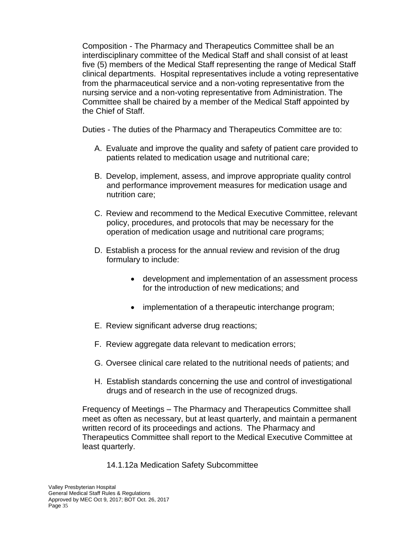Composition - The Pharmacy and Therapeutics Committee shall be an interdisciplinary committee of the Medical Staff and shall consist of at least five (5) members of the Medical Staff representing the range of Medical Staff clinical departments. Hospital representatives include a voting representative from the pharmaceutical service and a non-voting representative from the nursing service and a non-voting representative from Administration. The Committee shall be chaired by a member of the Medical Staff appointed by the Chief of Staff.

Duties - The duties of the Pharmacy and Therapeutics Committee are to:

- A. Evaluate and improve the quality and safety of patient care provided to patients related to medication usage and nutritional care;
- B. Develop, implement, assess, and improve appropriate quality control and performance improvement measures for medication usage and nutrition care;
- C. Review and recommend to the Medical Executive Committee, relevant policy, procedures, and protocols that may be necessary for the operation of medication usage and nutritional care programs;
- D. Establish a process for the annual review and revision of the drug formulary to include:
	- development and implementation of an assessment process for the introduction of new medications; and
	- implementation of a therapeutic interchange program;
- E. Review significant adverse drug reactions;
- F. Review aggregate data relevant to medication errors;
- G. Oversee clinical care related to the nutritional needs of patients; and
- H. Establish standards concerning the use and control of investigational drugs and of research in the use of recognized drugs.

Frequency of Meetings – The Pharmacy and Therapeutics Committee shall meet as often as necessary, but at least quarterly, and maintain a permanent written record of its proceedings and actions. The Pharmacy and Therapeutics Committee shall report to the Medical Executive Committee at least quarterly.

14.1.12a Medication Safety Subcommittee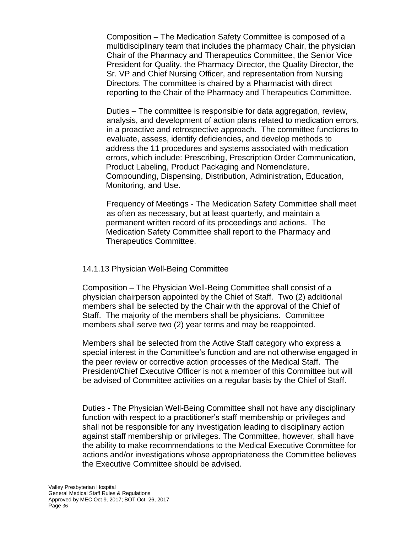Composition – The Medication Safety Committee is composed of a multidisciplinary team that includes the pharmacy Chair, the physician Chair of the Pharmacy and Therapeutics Committee, the Senior Vice President for Quality, the Pharmacy Director, the Quality Director, the Sr. VP and Chief Nursing Officer, and representation from Nursing Directors. The committee is chaired by a Pharmacist with direct reporting to the Chair of the Pharmacy and Therapeutics Committee.

Duties – The committee is responsible for data aggregation, review, analysis, and development of action plans related to medication errors, in a proactive and retrospective approach. The committee functions to evaluate, assess, identify deficiencies, and develop methods to address the 11 procedures and systems associated with medication errors, which include: Prescribing, Prescription Order Communication, Product Labeling, Product Packaging and Nomenclature, Compounding, Dispensing, Distribution, Administration, Education, Monitoring, and Use.

Frequency of Meetings - The Medication Safety Committee shall meet as often as necessary, but at least quarterly, and maintain a permanent written record of its proceedings and actions. The Medication Safety Committee shall report to the Pharmacy and Therapeutics Committee.

## 14.1.13 Physician Well-Being Committee

Composition – The Physician Well-Being Committee shall consist of a physician chairperson appointed by the Chief of Staff. Two (2) additional members shall be selected by the Chair with the approval of the Chief of Staff. The majority of the members shall be physicians. Committee members shall serve two (2) year terms and may be reappointed.

Members shall be selected from the Active Staff category who express a special interest in the Committee's function and are not otherwise engaged in the peer review or corrective action processes of the Medical Staff. The President/Chief Executive Officer is not a member of this Committee but will be advised of Committee activities on a regular basis by the Chief of Staff.

Duties - The Physician Well-Being Committee shall not have any disciplinary function with respect to a practitioner's staff membership or privileges and shall not be responsible for any investigation leading to disciplinary action against staff membership or privileges. The Committee, however, shall have the ability to make recommendations to the Medical Executive Committee for actions and/or investigations whose appropriateness the Committee believes the Executive Committee should be advised.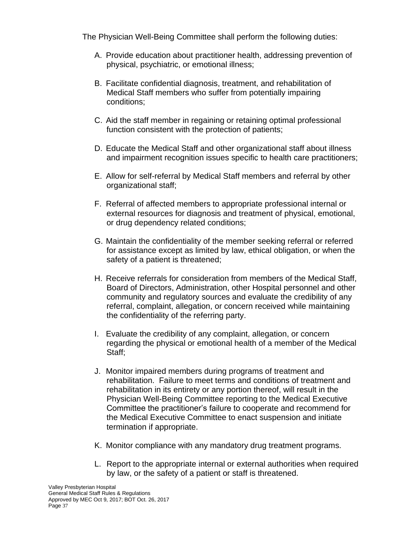The Physician Well-Being Committee shall perform the following duties:

- A. Provide education about practitioner health, addressing prevention of physical, psychiatric, or emotional illness;
- B. Facilitate confidential diagnosis, treatment, and rehabilitation of Medical Staff members who suffer from potentially impairing conditions;
- C. Aid the staff member in regaining or retaining optimal professional function consistent with the protection of patients;
- D. Educate the Medical Staff and other organizational staff about illness and impairment recognition issues specific to health care practitioners;
- E. Allow for self-referral by Medical Staff members and referral by other organizational staff;
- F. Referral of affected members to appropriate professional internal or external resources for diagnosis and treatment of physical, emotional, or drug dependency related conditions;
- G. Maintain the confidentiality of the member seeking referral or referred for assistance except as limited by law, ethical obligation, or when the safety of a patient is threatened;
- H. Receive referrals for consideration from members of the Medical Staff, Board of Directors, Administration, other Hospital personnel and other community and regulatory sources and evaluate the credibility of any referral, complaint, allegation, or concern received while maintaining the confidentiality of the referring party.
- I. Evaluate the credibility of any complaint, allegation, or concern regarding the physical or emotional health of a member of the Medical Staff;
- J. Monitor impaired members during programs of treatment and rehabilitation. Failure to meet terms and conditions of treatment and rehabilitation in its entirety or any portion thereof, will result in the Physician Well-Being Committee reporting to the Medical Executive Committee the practitioner's failure to cooperate and recommend for the Medical Executive Committee to enact suspension and initiate termination if appropriate.
- K. Monitor compliance with any mandatory drug treatment programs.
- L. Report to the appropriate internal or external authorities when required by law, or the safety of a patient or staff is threatened.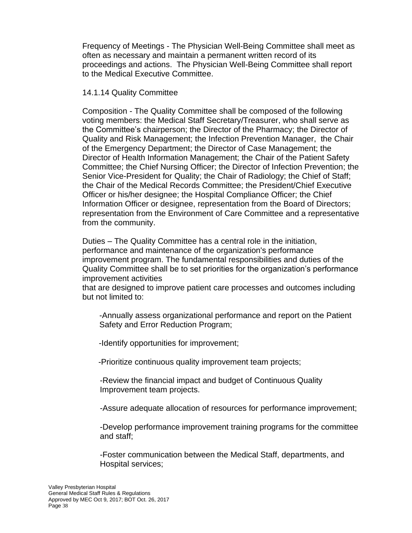Frequency of Meetings - The Physician Well-Being Committee shall meet as often as necessary and maintain a permanent written record of its proceedings and actions. The Physician Well-Being Committee shall report to the Medical Executive Committee.

#### 14.1.14 Quality Committee

Composition - The Quality Committee shall be composed of the following voting members: the Medical Staff Secretary/Treasurer, who shall serve as the Committee's chairperson; the Director of the Pharmacy; the Director of Quality and Risk Management; the Infection Prevention Manager, the Chair of the Emergency Department; the Director of Case Management; the Director of Health Information Management; the Chair of the Patient Safety Committee; the Chief Nursing Officer; the Director of Infection Prevention; the Senior Vice-President for Quality; the Chair of Radiology; the Chief of Staff; the Chair of the Medical Records Committee; the President/Chief Executive Officer or his/her designee; the Hospital Compliance Officer; the Chief Information Officer or designee, representation from the Board of Directors; representation from the Environment of Care Committee and a representative from the community.

Duties – The Quality Committee has a central role in the initiation, performance and maintenance of the organization's performance improvement program. The fundamental responsibilities and duties of the Quality Committee shall be to set priorities for the organization's performance improvement activities

that are designed to improve patient care processes and outcomes including but not limited to:

-Annually assess organizational performance and report on the Patient Safety and Error Reduction Program;

-Identify opportunities for improvement;

-Prioritize continuous quality improvement team projects;

-Review the financial impact and budget of Continuous Quality Improvement team projects.

-Assure adequate allocation of resources for performance improvement;

-Develop performance improvement training programs for the committee and staff;

-Foster communication between the Medical Staff, departments, and Hospital services;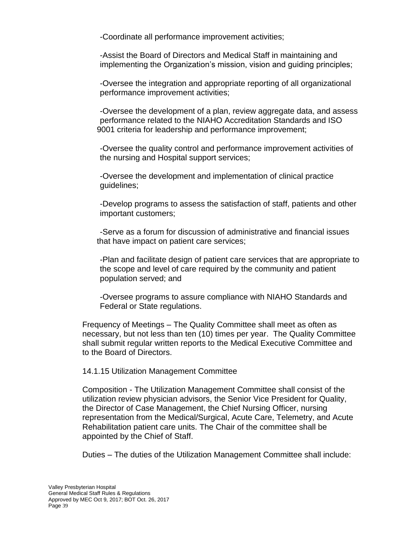-Coordinate all performance improvement activities;

-Assist the Board of Directors and Medical Staff in maintaining and implementing the Organization's mission, vision and guiding principles;

-Oversee the integration and appropriate reporting of all organizational performance improvement activities;

-Oversee the development of a plan, review aggregate data, and assess performance related to the NIAHO Accreditation Standards and ISO 9001 criteria for leadership and performance improvement;

-Oversee the quality control and performance improvement activities of the nursing and Hospital support services;

-Oversee the development and implementation of clinical practice guidelines;

-Develop programs to assess the satisfaction of staff, patients and other important customers;

-Serve as a forum for discussion of administrative and financial issues that have impact on patient care services;

-Plan and facilitate design of patient care services that are appropriate to the scope and level of care required by the community and patient population served; and

-Oversee programs to assure compliance with NIAHO Standards and Federal or State regulations.

Frequency of Meetings – The Quality Committee shall meet as often as necessary, but not less than ten (10) times per year. The Quality Committee shall submit regular written reports to the Medical Executive Committee and to the Board of Directors.

#### 14.1.15 Utilization Management Committee

Composition - The Utilization Management Committee shall consist of the utilization review physician advisors, the Senior Vice President for Quality, the Director of Case Management, the Chief Nursing Officer, nursing representation from the Medical/Surgical, Acute Care, Telemetry, and Acute Rehabilitation patient care units. The Chair of the committee shall be appointed by the Chief of Staff.

Duties – The duties of the Utilization Management Committee shall include: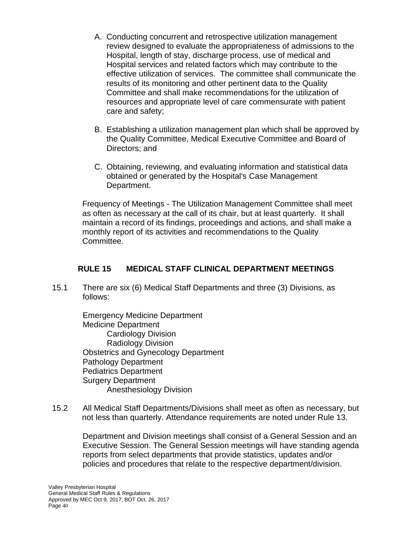- A. Conducting concurrent and retrospective utilization management review designed to evaluate the appropriateness of admissions to the Hospital, length of stay, discharge process, use of medical and Hospital services and related factors which may contribute to the effective utilization of services. The committee shall communicate the results of its monitoring and other pertinent data to the Quality Committee and shall make recommendations for the utilization of resources and appropriate level of care commensurate with patient care and safety;
- B. Establishing a utilization management plan which shall be approved by the Quality Committee, Medical Executive Committee and Board of Directors; and
- C. Obtaining, reviewing, and evaluating information and statistical data obtained or generated by the Hospital's Case Management Department.

Frequency of Meetings - The Utilization Management Committee shall meet as often as necessary at the call of its chair, but at least quarterly. It shall maintain a record of its findings, proceedings and actions, and shall make a monthly report of its activities and recommendations to the Quality Committee.

## **RULE 15 MEDICAL STAFF CLINICAL DEPARTMENT MEETINGS**

15.1 There are six (6) Medical Staff Departments and three (3) Divisions, as follows:

> Emergency Medicine Department Medicine Department Cardiology Division Radiology Division Obstetrics and Gynecology Department Pathology Department Pediatrics Department Surgery Department Anesthesiology Division

15.2 All Medical Staff Departments/Divisions shall meet as often as necessary, but not less than quarterly. Attendance requirements are noted under Rule 13.

Department and Division meetings shall consist of a General Session and an Executive Session. The General Session meetings will have standing agenda reports from select departments that provide statistics, updates and/or policies and procedures that relate to the respective department/division.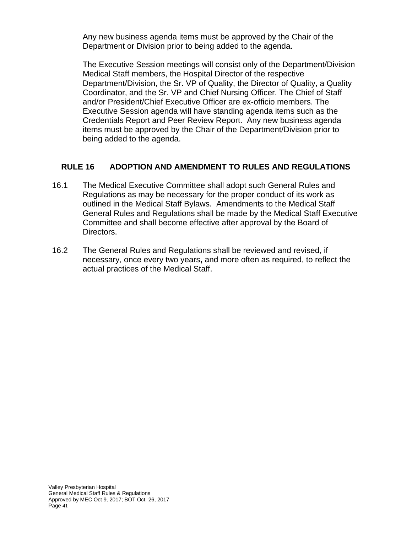Any new business agenda items must be approved by the Chair of the Department or Division prior to being added to the agenda.

The Executive Session meetings will consist only of the Department/Division Medical Staff members, the Hospital Director of the respective Department/Division, the Sr. VP of Quality, the Director of Quality, a Quality Coordinator, and the Sr. VP and Chief Nursing Officer. The Chief of Staff and/or President/Chief Executive Officer are ex-officio members. The Executive Session agenda will have standing agenda items such as the Credentials Report and Peer Review Report. Any new business agenda items must be approved by the Chair of the Department/Division prior to being added to the agenda.

# **RULE 16 ADOPTION AND AMENDMENT TO RULES AND REGULATIONS**

- 16.1 The Medical Executive Committee shall adopt such General Rules and Regulations as may be necessary for the proper conduct of its work as outlined in the Medical Staff Bylaws. Amendments to the Medical Staff General Rules and Regulations shall be made by the Medical Staff Executive Committee and shall become effective after approval by the Board of Directors.
- 16.2 The General Rules and Regulations shall be reviewed and revised, if necessary, once every two years**,** and more often as required, to reflect the actual practices of the Medical Staff.